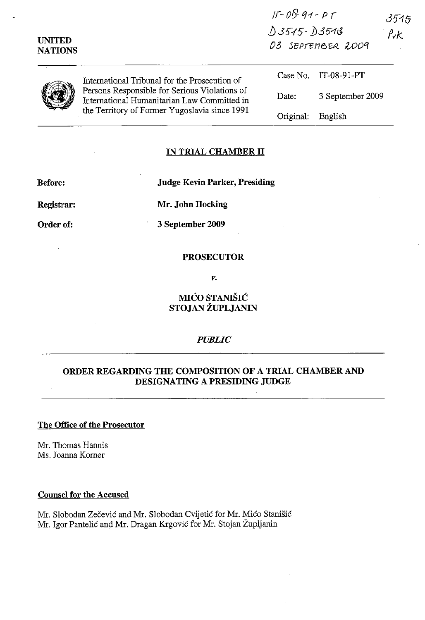| <b>UNITED</b><br><b>NATIONS</b> | International Tribunal for the Prosecution of<br>Persons Responsible for Serious Violations of<br>International Humanitarian Law Committed in<br>the Territory of Former Yugoslavia since 1991 | $H = U(Y \cdot 99 - P)$<br>$03515 - 03513$<br>03 SEPTEMBER 2009 |                      | 3515<br>$P_{\nu}$ $k$ |  |
|---------------------------------|------------------------------------------------------------------------------------------------------------------------------------------------------------------------------------------------|-----------------------------------------------------------------|----------------------|-----------------------|--|
|                                 |                                                                                                                                                                                                |                                                                 | Case No. IT-08-91-PT |                       |  |
|                                 |                                                                                                                                                                                                | Date:                                                           | 3 September 2009     |                       |  |
|                                 |                                                                                                                                                                                                | Original:                                                       | English              |                       |  |

*/r-* ofJ- q-r - *P r* 

### **IN TRIAL CHAMBER II**

**Before: Judge Kevin Parker, Presiding** 

**Registrar:** 

**Order of:** 

**Mr. John Hocking** 

**3 September 2009** 

## **PROSECUTOR**

*v.* 

## **MICO STANISIC STOJAN ZUPLJANIN**

## *PUBLIC*

# **ORDER REGARDING THE COMPOSITION OF A TRIAL CHAMBER AND DESIGNATING A PRESIDING JUDGE**

#### **The Office of the Prosecutor**

Mr. Thomas Hannis Ms. Joanna Komer

#### **Counsel for the Accused**

Mr. Slobodan Zečević and Mr. Slobodan Cvijetić for Mr. Mićo Stanišić Mr. Igor Pantelić and Mr. Dragan Krgović for Mr. Stojan Župljanin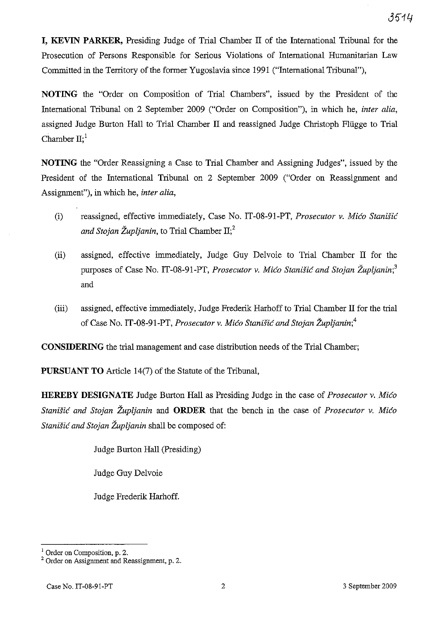**I, KEVIN PARKER,** Presiding Judge of Trial Chamber II of the International Tribunal for the Prosecution of Persons Responsible for Serious Violations of International Humanitarian Law Committed in the Territory of the former Yugoslavia since 1991 ("International Tribunal"),

**NOTING** the "Order on Composition of Trial Chambers", issued by the President of the International Tribunal on 2 September 2009 ("Order on Composition"), in which he, *inter alia,*  assigned Judge Burton Hall to Trial Chamber II and reassigned Judge Christoph Fliigge to Trial Chamber  $II$ ;<sup>1</sup>

**NOTING** the "Order Reassigning a Case to Trial Chamber and Assigning Judges", issued by the President of the International Tribunal on 2 September 2009 ("Order on Reassignment and Assignment"), in which he, *inter alia,* 

- (i) reassigned, effective immediately, Case No. IT-08-91-PT, *Prosecutor* v. *Mico Stanisic and Stojan Župljanin,* to Trial Chamber  $II<sub>i</sub><sup>2</sup>$
- (ii) assigned, effective immediately, Judge Guy Delvoie to Trial Chamber II for the purposes of Case No. IT-08-91-PT, *Prosecutor* v. *Mico Stanisic and Stojan Zupljanin;3*  and
- (iii) assigned, effective immediately, Judge Frederik Harhoff to Trial Chamber II for the trial of Case No. IT-08-91-PT, *Prosecutor* v. *Mico Stanisic and Stojan Zupljanin;4*

**CONSIDERING** the trial management and case distribution needs of the Trial Chamber;

**PURSUANT TO** Article 14(7) of the Statute of the Tribunal,

**HEREBY DESIGNATE** Judge Burton Hall as Presiding Judge in the case of *Prosecutor* v. *Mico Stanisic and Stojan Zupljanin* and **ORDER** that the bench in the case of *Prosecutor* v. *Mico Stanisic and Stojan Zupljanin* shall be composed of:

Judge Burton Hall (Presiding)

Judge Guy Delvoie

Judge Frederik Harhoff.

<sup>1</sup> Order on Composition, p. 2.

<sup>2</sup> Order on Assigmnent and Reassigmnent, p. 2.